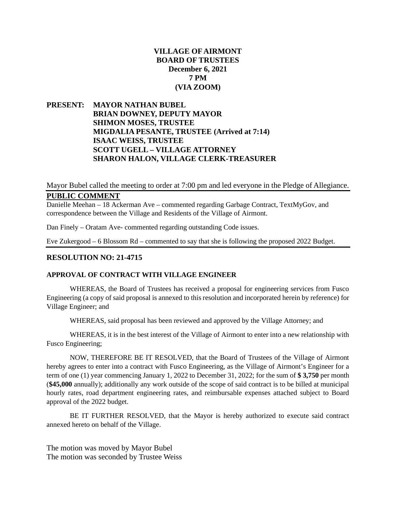# **VILLAGE OF AIRMONT BOARD OF TRUSTEES December 6, 2021 7 PM (VIA ZOOM)**

**PRESENT: MAYOR NATHAN BUBEL BRIAN DOWNEY, DEPUTY MAYOR SHIMON MOSES, TRUSTEE MIGDALIA PESANTE, TRUSTEE (Arrived at 7:14) ISAAC WEISS, TRUSTEE SCOTT UGELL – VILLAGE ATTORNEY SHARON HALON, VILLAGE CLERK-TREASURER**

# Mayor Bubel called the meeting to order at 7:00 pm and led everyone in the Pledge of Allegiance. **PUBLIC COMMENT**

Danielle Meehan – 18 Ackerman Ave – commented regarding Garbage Contract, TextMyGov, and correspondence between the Village and Residents of the Village of Airmont.

Dan Finely – Oratam Ave- commented regarding outstanding Code issues.

Eve Zukergood – 6 Blossom Rd – commented to say that she is following the proposed 2022 Budget.

#### **RESOLUTION NO: 21-4715**

#### **APPROVAL OF CONTRACT WITH VILLAGE ENGINEER**

WHEREAS, the Board of Trustees has received a proposal for engineering services from Fusco Engineering (a copy of said proposal is annexed to this resolution and incorporated herein by reference) for Village Engineer; and

WHEREAS, said proposal has been reviewed and approved by the Village Attorney; and

WHEREAS, it is in the best interest of the Village of Airmont to enter into a new relationship with Fusco Engineering;

NOW, THEREFORE BE IT RESOLVED, that the Board of Trustees of the Village of Airmont hereby agrees to enter into a contract with Fusco Engineering, as the Village of Airmont's Engineer for a term of one (1) year commencing January 1, 2022 to December 31, 2022; for the sum of **\$ 3,750** per month (**\$45,000** annually); additionally any work outside of the scope of said contract is to be billed at municipal hourly rates, road department engineering rates, and reimbursable expenses attached subject to Board approval of the 2022 budget.

BE IT FURTHER RESOLVED, that the Mayor is hereby authorized to execute said contract annexed hereto on behalf of the Village.

The motion was moved by Mayor Bubel The motion was seconded by Trustee Weiss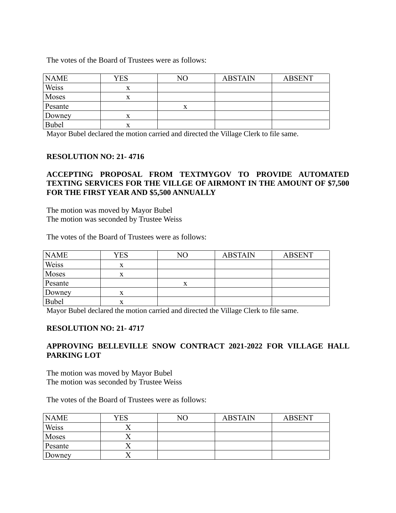The votes of the Board of Trustees were as follows:

| <b>NAME</b>  | YES | NО | <b>ABSTAIN</b> | <b>ABSENT</b> |
|--------------|-----|----|----------------|---------------|
| Weiss        | x   |    |                |               |
| Moses        |     |    |                |               |
| Pesante      |     |    |                |               |
| Downey       | x   |    |                |               |
| <b>Bubel</b> | x   |    |                |               |

Mayor Bubel declared the motion carried and directed the Village Clerk to file same.

## **RESOLUTION NO: 21- 4716**

# **ACCEPTING PROPOSAL FROM TEXTMYGOV TO PROVIDE AUTOMATED TEXTING SERVICES FOR THE VILLGE OF AIRMONT IN THE AMOUNT OF \$7,500 FOR THE FIRST YEAR AND \$5,500 ANNUALLY**

The motion was moved by Mayor Bubel The motion was seconded by Trustee Weiss

The votes of the Board of Trustees were as follows:

| <b>NAME</b> | <b>YES</b> | NО | <b>ABSTAIN</b> | <b>ABSENT</b> |
|-------------|------------|----|----------------|---------------|
| Weiss       | x          |    |                |               |
| Moses       | x          |    |                |               |
| Pesante     |            | х  |                |               |
| Downey      | x          |    |                |               |
| Bubel       | X          |    |                |               |

Mayor Bubel declared the motion carried and directed the Village Clerk to file same.

## **RESOLUTION NO: 21- 4717**

# **APPROVING BELLEVILLE SNOW CONTRACT 2021-2022 FOR VILLAGE HALL PARKING LOT**

The motion was moved by Mayor Bubel The motion was seconded by Trustee Weiss

The votes of the Board of Trustees were as follows:

| <b>NAME</b> | YES | NΟ | <b>ABSTAIN</b> | <b>ABSENT</b> |
|-------------|-----|----|----------------|---------------|
| Weiss       |     |    |                |               |
| Moses       |     |    |                |               |
| Pesante     |     |    |                |               |
| Downey      |     |    |                |               |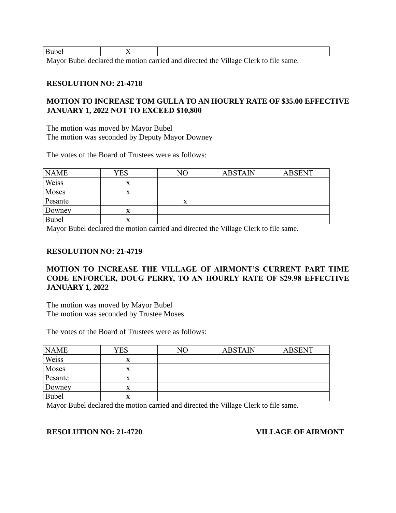| $D - 1 -$<br>uvei |         |   |  |   |                                                                                                                                                                                                                                                                                                             |        |  |
|-------------------|---------|---|--|---|-------------------------------------------------------------------------------------------------------------------------------------------------------------------------------------------------------------------------------------------------------------------------------------------------------------|--------|--|
| - -               | - - - - | . |  | . | $\mathbf{r}$ , $\mathbf{r}$ , $\mathbf{r}$ , $\mathbf{r}$ , $\mathbf{r}$ , $\mathbf{r}$ , $\mathbf{r}$ , $\mathbf{r}$ , $\mathbf{r}$ , $\mathbf{r}$ , $\mathbf{r}$ , $\mathbf{r}$ , $\mathbf{r}$ , $\mathbf{r}$ , $\mathbf{r}$ , $\mathbf{r}$ , $\mathbf{r}$ , $\mathbf{r}$ , $\mathbf{r}$ , $\mathbf{r}$ , | $\sim$ |  |

Mayor Bubel declared the motion carried and directed the Village Clerk to file same.

#### **RESOLUTION NO: 21-4718**

# **MOTION TO INCREASE TOM GULLA TO AN HOURLY RATE OF \$35.00 EFFECTIVE JANUARY 1, 2022 NOT TO EXCEED \$10,800**

The motion was moved by Mayor Bubel The motion was seconded by Deputy Mayor Downey

The votes of the Board of Trustees were as follows:

| <b>NAME</b> | <b>YES</b> | NΟ | <b>ABSTAIN</b> | <b>ABSENT</b> |
|-------------|------------|----|----------------|---------------|
| Weiss       | X          |    |                |               |
| Moses       | x          |    |                |               |
| Pesante     |            |    |                |               |
| Downey      | x          |    |                |               |
| Bubel       |            |    |                |               |

Mayor Bubel declared the motion carried and directed the Village Clerk to file same.

#### **RESOLUTION NO: 21-4719**

# **MOTION TO INCREASE THE VILLAGE OF AIRMONT'S CURRENT PART TIME CODE ENFORCER, DOUG PERRY, TO AN HOURLY RATE OF \$29.98 EFFECTIVE JANUARY 1, 2022**

The motion was moved by Mayor Bubel The motion was seconded by Trustee Moses

The votes of the Board of Trustees were as follows:

| <b>NAME</b>  | <b>YES</b> | NO. | <b>ABSTAIN</b> | <b>ABSENT</b> |
|--------------|------------|-----|----------------|---------------|
| Weiss        | X          |     |                |               |
| Moses        | x          |     |                |               |
| Pesante      |            |     |                |               |
| Downey       | x          |     |                |               |
| <b>Bubel</b> | x          |     |                |               |

Mayor Bubel declared the motion carried and directed the Village Clerk to file same.

## **RESOLUTION NO: 21-4720 VILLAGE OF AIRMONT**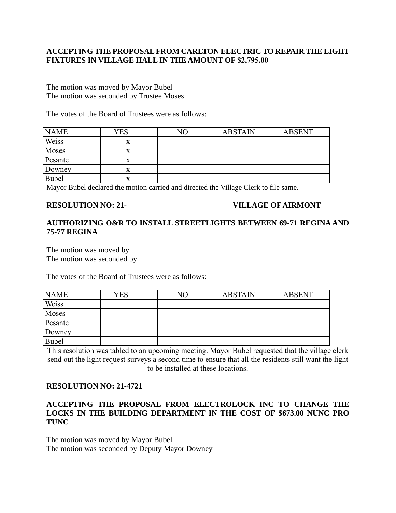# **ACCEPTING THE PROPOSAL FROM CARLTON ELECTRIC TO REPAIR THE LIGHT FIXTURES IN VILLAGE HALL IN THE AMOUNT OF \$2,795.00**

The motion was moved by Mayor Bubel The motion was seconded by Trustee Moses

The votes of the Board of Trustees were as follows:

| <b>NAME</b> | YES | $\rm NO$ | <b>ABSTAIN</b> | <b>ABSENT</b> |
|-------------|-----|----------|----------------|---------------|
| Weiss       | x   |          |                |               |
| Moses       | x   |          |                |               |
| Pesante     | X   |          |                |               |
| Downey      | X   |          |                |               |
| Bubel       | x   |          |                |               |

Mayor Bubel declared the motion carried and directed the Village Clerk to file same.

#### **RESOLUTION NO: 21- VILLAGE OF AIRMONT**

## **AUTHORIZING O&R TO INSTALL STREETLIGHTS BETWEEN 69-71 REGINA AND 75-77 REGINA**

The motion was moved by The motion was seconded by

The votes of the Board of Trustees were as follows:

| <b>NAME</b>  | YES | NΟ | <b>ABSTAIN</b> | <b>ABSENT</b> |
|--------------|-----|----|----------------|---------------|
| Weiss        |     |    |                |               |
| Moses        |     |    |                |               |
| Pesante      |     |    |                |               |
| Downey       |     |    |                |               |
| <b>Bubel</b> |     |    |                |               |

This resolution was tabled to an upcoming meeting. Mayor Bubel requested that the village clerk send out the light request surveys a second time to ensure that all the residents still want the light to be installed at these locations.

# **RESOLUTION NO: 21-4721**

# **ACCEPTING THE PROPOSAL FROM ELECTROLOCK INC TO CHANGE THE LOCKS IN THE BUILDING DEPARTMENT IN THE COST OF \$673.00 NUNC PRO TUNC**

The motion was moved by Mayor Bubel The motion was seconded by Deputy Mayor Downey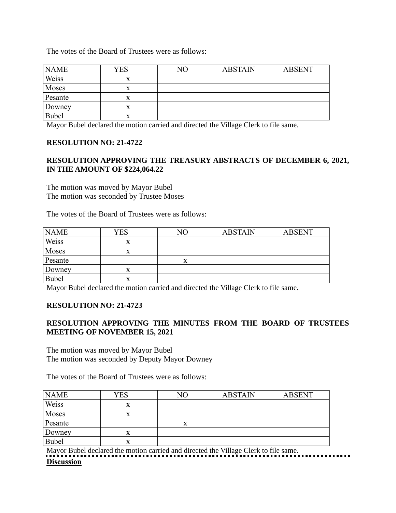The votes of the Board of Trustees were as follows:

| <b>NAME</b>  | YES | NО | <b>ABSTAIN</b> | <b>ABSENT</b> |
|--------------|-----|----|----------------|---------------|
| Weiss        | X   |    |                |               |
| Moses        | x   |    |                |               |
| Pesante      |     |    |                |               |
| Downey       |     |    |                |               |
| <b>Bubel</b> | л   |    |                |               |

Mayor Bubel declared the motion carried and directed the Village Clerk to file same.

#### **RESOLUTION NO: 21-4722**

## **RESOLUTION APPROVING THE TREASURY ABSTRACTS OF DECEMBER 6, 2021, IN THE AMOUNT OF \$224,064.22**

The motion was moved by Mayor Bubel The motion was seconded by Trustee Moses

The votes of the Board of Trustees were as follows:

| <b>NAME</b> | YES       | NΟ | <b>ABSTAIN</b> | <b>ABSENT</b> |
|-------------|-----------|----|----------------|---------------|
| Weiss       | $\Lambda$ |    |                |               |
| Moses       | л         |    |                |               |
| Pesante     |           | х  |                |               |
| Downey      |           |    |                |               |
| Bubel       | ́△        |    |                |               |

Mayor Bubel declared the motion carried and directed the Village Clerk to file same.

## **RESOLUTION NO: 21-4723**

## **RESOLUTION APPROVING THE MINUTES FROM THE BOARD OF TRUSTEES MEETING OF NOVEMBER 15, 2021**

The motion was moved by Mayor Bubel The motion was seconded by Deputy Mayor Downey

The votes of the Board of Trustees were as follows:

| <b>NAME</b> | <b>YES</b> | NО | <b>ABSTAIN</b> | <b>ABSENT</b> |
|-------------|------------|----|----------------|---------------|
| Weiss       |            |    |                |               |
| Moses       | л          |    |                |               |
| Pesante     |            | Δ  |                |               |
| Downey      |            |    |                |               |
| Bubel       |            |    |                |               |

Mayor Bubel declared the motion carried and directed the Village Clerk to file same. **Discussion**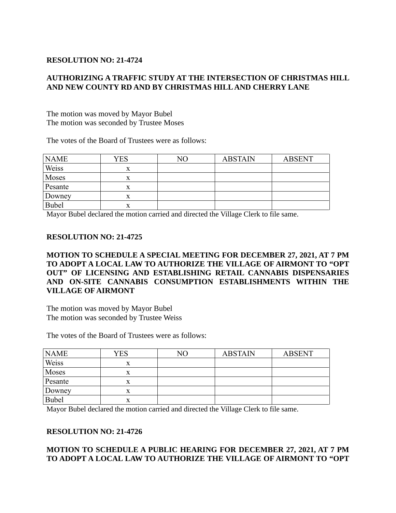# **RESOLUTION NO: 21-4724**

# **AUTHORIZING A TRAFFIC STUDY AT THE INTERSECTION OF CHRISTMAS HILL AND NEW COUNTY RD AND BY CHRISTMAS HILL AND CHERRY LANE**

The motion was moved by Mayor Bubel The motion was seconded by Trustee Moses

The votes of the Board of Trustees were as follows:

| <b>NAME</b> | YES | NΟ | <b>ABSTAIN</b> | <b>ABSENT</b> |
|-------------|-----|----|----------------|---------------|
| Weiss       |     |    |                |               |
| Moses       |     |    |                |               |
| Pesante     |     |    |                |               |
| Downey      | л   |    |                |               |
| Bubel       | л   |    |                |               |

Mayor Bubel declared the motion carried and directed the Village Clerk to file same.

#### **RESOLUTION NO: 21-4725**

**MOTION TO SCHEDULE A SPECIAL MEETING FOR DECEMBER 27, 2021, AT 7 PM TO ADOPT A LOCAL LAW TO AUTHORIZE THE VILLAGE OF AIRMONT TO "OPT OUT" OF LICENSING AND ESTABLISHING RETAIL CANNABIS DISPENSARIES AND ON-SITE CANNABIS CONSUMPTION ESTABLISHMENTS WITHIN THE VILLAGE OF AIRMONT**

The motion was moved by Mayor Bubel The motion was seconded by Trustee Weiss

The votes of the Board of Trustees were as follows:

| <b>NAME</b>  | <b>YES</b> | NΟ | <b>ABSTAIN</b> | <b>ABSENT</b> |
|--------------|------------|----|----------------|---------------|
| Weiss        |            |    |                |               |
| Moses        |            |    |                |               |
| Pesante      |            |    |                |               |
| Downey       | л          |    |                |               |
| <b>Bubel</b> | л          |    |                |               |

Mayor Bubel declared the motion carried and directed the Village Clerk to file same.

## **RESOLUTION NO: 21-4726**

# **MOTION TO SCHEDULE A PUBLIC HEARING FOR DECEMBER 27, 2021, AT 7 PM TO ADOPT A LOCAL LAW TO AUTHORIZE THE VILLAGE OF AIRMONT TO "OPT**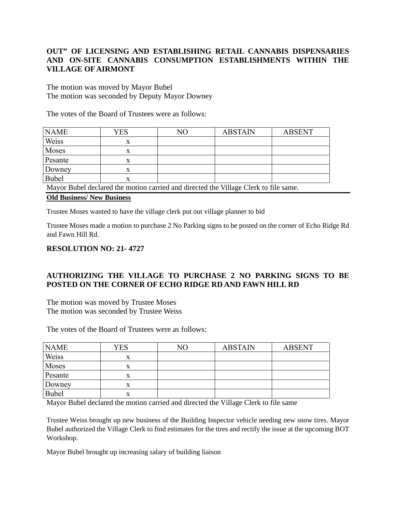# **OUT" OF LICENSING AND ESTABLISHING RETAIL CANNABIS DISPENSARIES AND ON-SITE CANNABIS CONSUMPTION ESTABLISHMENTS WITHIN THE VILLAGE OF AIRMONT**

The motion was moved by Mayor Bubel The motion was seconded by Deputy Mayor Downey

The votes of the Board of Trustees were as follows:

| <b>NAME</b>                                                                                            | YES | $\rm NO$ | <b>ABSTAIN</b> | <b>ABSENT</b> |
|--------------------------------------------------------------------------------------------------------|-----|----------|----------------|---------------|
| Weiss                                                                                                  | x   |          |                |               |
| Moses                                                                                                  | X   |          |                |               |
| Pesante                                                                                                | X   |          |                |               |
| Downey                                                                                                 | x   |          |                |               |
| <b>Bubel</b>                                                                                           | X   |          |                |               |
| <b>PULLER</b><br>$\mathbf{r}$ , and $\mathbf{r}$ , and $\mathbf{r}$ , and $\mathbf{r}$<br>$\mathbf{r}$ |     |          |                |               |

Mayor Bubel declared the motion carried and directed the Village Clerk to file same.

# **Old Business/ New Business**

Trustee Moses wanted to have the village clerk put out village planner to bid

Trustee Moses made a motion to purchase 2 No Parking signs to be posted on the corner of Echo Ridge Rd and Fawn Hill Rd.

## **RESOLUTION NO: 21- 4727**

# **AUTHORIZING THE VILLAGE TO PURCHASE 2 NO PARKING SIGNS TO BE POSTED ON THE CORNER OF ECHO RIDGE RD AND FAWN HILL RD**

The motion was moved by Trustee Moses The motion was seconded by Trustee Weiss

The votes of the Board of Trustees were as follows:

| <b>NAME</b> | YES | NΟ | <b>ABSTAIN</b> | <b>ABSENT</b> |
|-------------|-----|----|----------------|---------------|
| Weiss       | x   |    |                |               |
| Moses       | x   |    |                |               |
| Pesante     |     |    |                |               |
| Downey      |     |    |                |               |
| Bubel       | x   |    |                |               |

Mayor Bubel declared the motion carried and directed the Village Clerk to file same

Trustee Weiss brought up new business of the Building Inspector vehicle needing new snow tires. Mayor Bubel authorized the Village Clerk to find estimates for the tires and rectify the issue at the upcoming BOT Workshop.

Mayor Bubel brought up increasing salary of building liaison